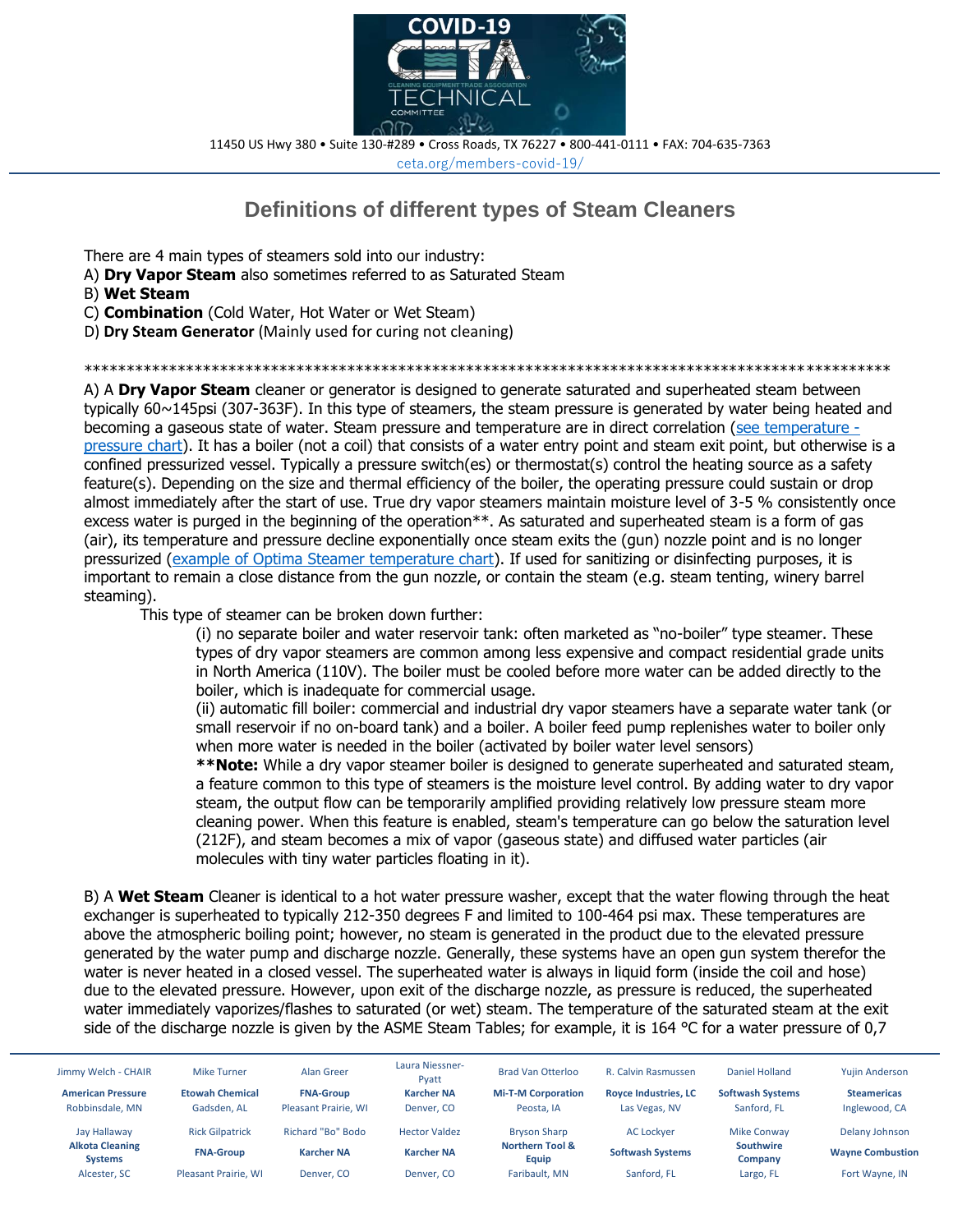

11450 US Hwy 380 • Suite 130-#289 • Cross Roads, TX 76227 • 800-441-0111 • FAX: 704-635-7363 ceta.org/members-covid-19/

## **Definitions of different types of Steam Cleaners**

There are 4 main types of steamers sold into our industry:

- A) **Dry Vapor Steam** also sometimes referred to as Saturated Steam
- B) **Wet Steam**
- C) **Combination** (Cold Water, Hot Water or Wet Steam)
- D) **Dry Steam Generator** (Mainly used for curing not cleaning)

\*\*\*\*\*\*\*\*\*\*\*\*\*\*\*\*\*\*\*\*\*\*\*\*\*\*\*\*\*\*\*\*\*\*\*\*\*\*\*\*\*\*\*\*\*\*\*\*\*\*\*\*\*\*\*\*\*\*\*\*\*\*\*\*\*\*\*\*\*\*\*\*\*\*\*\*\*\*\*\*\*\*\*\*\*\*\*\*\*\*\*\*\*\*\*

A) A **Dry Vapor Steam** cleaner or generator is designed to generate saturated and superheated steam between typically 60~145psi (307-363F). In this type of steamers, the steam pressure is generated by water being heated and becoming a gaseous state of water. Steam pressure and temperature are in direct correlation [\(see temperature](https://t.yesware.com/tt/663b6a45428d4d5291bbabae0dd95168b98a882e/6ebd00b1628aa3041b5c3cd4224e300b/9ebff4e4d887357fd501e8996bd8d114/www.engineeringtoolbox.com/saturated-steam-properties-d_273.html)  [pressure chart\)](https://t.yesware.com/tt/663b6a45428d4d5291bbabae0dd95168b98a882e/6ebd00b1628aa3041b5c3cd4224e300b/9ebff4e4d887357fd501e8996bd8d114/www.engineeringtoolbox.com/saturated-steam-properties-d_273.html). It has a boiler (not a coil) that consists of a water entry point and steam exit point, but otherwise is a confined pressurized vessel. Typically a pressure switch(es) or thermostat(s) control the heating source as a safety feature(s). Depending on the size and thermal efficiency of the boiler, the operating pressure could sustain or drop almost immediately after the start of use. True dry vapor steamers maintain moisture level of 3-5 % consistently once excess water is purged in the beginning of the operation<sup>\*\*</sup>. As saturated and superheated steam is a form of gas (air), its temperature and pressure decline exponentially once steam exits the (gun) nozzle point and is no longer pressurized [\(example of Optima Steamer temperature chart\)](https://t.yesware.com/ta/663b6a45428d4d5291bbabae0dd95168b98a882e/6ebd00b1628aa3041b5c3cd4224e300b/3542101d0c4f917960a2336695cd5a5f?n=example%20of%20Optima%20Steamer%20temperature%20chart&yta=https%3A%2F%2Fdrive.google.com%2Ffile%2Fd%2F12oAGB8HclJYUFPMPdDnZkSH5ZeGnrZUS%2Fview%3Fusp%3Dsharing). If used for sanitizing or disinfecting purposes, it is important to remain a close distance from the gun nozzle, or contain the steam (e.g. steam tenting, winery barrel steaming).

This type of steamer can be broken down further:

(i) no separate boiler and water reservoir tank: often marketed as "no-boiler" type steamer. These types of dry vapor steamers are common among less expensive and compact residential grade units in North America (110V). The boiler must be cooled before more water can be added directly to the boiler, which is inadequate for commercial usage.

(ii) automatic fill boiler: commercial and industrial dry vapor steamers have a separate water tank (or small reservoir if no on-board tank) and a boiler. A boiler feed pump replenishes water to boiler only when more water is needed in the boiler (activated by boiler water level sensors)

**\*\*Note:** While a dry vapor steamer boiler is designed to generate superheated and saturated steam, a feature common to this type of steamers is the moisture level control. By adding water to dry vapor steam, the output flow can be temporarily amplified providing relatively low pressure steam more cleaning power. When this feature is enabled, steam's temperature can go below the saturation level (212F), and steam becomes a mix of vapor (gaseous state) and diffused water particles (air molecules with tiny water particles floating in it).

B) A **Wet Steam** Cleaner is identical to a hot water pressure washer, except that the water flowing through the heat exchanger is superheated to typically 212-350 degrees F and limited to 100-464 psi max. These temperatures are above the atmospheric boiling point; however, no steam is generated in the product due to the elevated pressure generated by the water pump and discharge nozzle. Generally, these systems have an open gun system therefor the water is never heated in a closed vessel. The superheated water is always in liquid form (inside the coil and hose) due to the elevated pressure. However, upon exit of the discharge nozzle, as pressure is reduced, the superheated water immediately vaporizes/flashes to saturated (or wet) steam. The temperature of the saturated steam at the exit side of the discharge nozzle is given by the ASME Steam Tables; for example, it is 164 °C for a water pressure of 0,7

| Jimmy Welch - CHAIR                      | <b>Mike Turner</b>     | Alan Greer           | Laura Niessner-<br>Pyatt | <b>Brad Van Otterloo</b>            | R. Calvin Rasmussen         | Daniel Holland          | <b>Yujin Anderson</b>   |
|------------------------------------------|------------------------|----------------------|--------------------------|-------------------------------------|-----------------------------|-------------------------|-------------------------|
| <b>American Pressure</b>                 | <b>Etowah Chemical</b> | <b>FNA-Group</b>     | <b>Karcher NA</b>        | <b>Mi-T-M Corporation</b>           | <b>Royce Industries, LC</b> | <b>Softwash Systems</b> | <b>Steamericas</b>      |
| Robbinsdale, MN                          | Gadsden, AL            | Pleasant Prairie. WI | Denver, CO               | Peosta. IA                          | Las Vegas, NV               | Sanford, FL             | Inglewood, CA           |
| Jay Hallaway                             | <b>Rick Gilpatrick</b> | Richard "Bo" Bodo    | <b>Hector Valdez</b>     | <b>Bryson Sharp</b>                 | <b>AC Lockver</b>           | <b>Mike Conway</b>      | Delany Johnson          |
| <b>Alkota Cleaning</b><br><b>Systems</b> | <b>FNA-Group</b>       | <b>Karcher NA</b>    | <b>Karcher NA</b>        | <b>Northern Tool &amp;</b><br>Equip | <b>Softwash Systems</b>     | Southwire<br>Company    | <b>Wayne Combustion</b> |
| Alcester, SC                             | Pleasant Prairie, WI   | Denver, CO           | Denver, CO               | Faribault, MN                       | Sanford, FL                 | Largo, FL               | Fort Wayne, IN          |